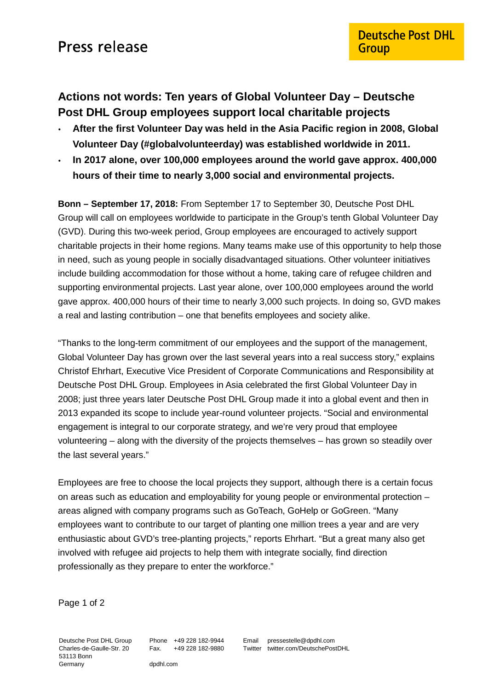## **Actions not words: Ten years of Global Volunteer Day – Deutsche Post DHL Group employees support local charitable projects**

- **After the first Volunteer Day was held in the Asia Pacific region in 2008, Global Volunteer Day (#globalvolunteerday) was established worldwide in 2011.**
- **In 2017 alone, over 100,000 employees around the world gave approx. 400,000 hours of their time to nearly 3,000 social and environmental projects.**

**Bonn – September 17, 2018:** From September 17 to September 30, Deutsche Post DHL Group will call on employees worldwide to participate in the Group's tenth Global Volunteer Day (GVD). During this two-week period, Group employees are encouraged to actively support charitable projects in their home regions. Many teams make use of this opportunity to help those in need, such as young people in socially disadvantaged situations. Other volunteer initiatives include building accommodation for those without a home, taking care of refugee children and supporting environmental projects. Last year alone, over 100,000 employees around the world gave approx. 400,000 hours of their time to nearly 3,000 such projects. In doing so, GVD makes a real and lasting contribution – one that benefits employees and society alike.

"Thanks to the long-term commitment of our employees and the support of the management, Global Volunteer Day has grown over the last several years into a real success story," explains Christof Ehrhart, Executive Vice President of Corporate Communications and Responsibility at Deutsche Post DHL Group. Employees in Asia celebrated the first Global Volunteer Day in 2008; just three years later Deutsche Post DHL Group made it into a global event and then in 2013 expanded its scope to include year-round volunteer projects. "Social and environmental engagement is integral to our corporate strategy, and we're very proud that employee volunteering – along with the diversity of the projects themselves – has grown so steadily over the last several years."

Employees are free to choose the local projects they support, although there is a certain focus on areas such as education and employability for young people or environmental protection – areas aligned with company programs such as GoTeach, GoHelp or GoGreen. "Many employees want to contribute to our target of planting one million trees a year and are very enthusiastic about GVD's tree-planting projects," reports Ehrhart. "But a great many also get involved with refugee aid projects to help them with integrate socially, find direction professionally as they prepare to enter the workforce."

Page 1 of 2

Deutsche Post DHL Group Charles-de-Gaulle-Str. 20 53113 Bonn Germany

Phone +49 228 182-9944 Fax. +49 228 182-9880

Email pressestelle@dpdhl.com Twitter twitter.com/DeutschePostDHL

dpdhl.com